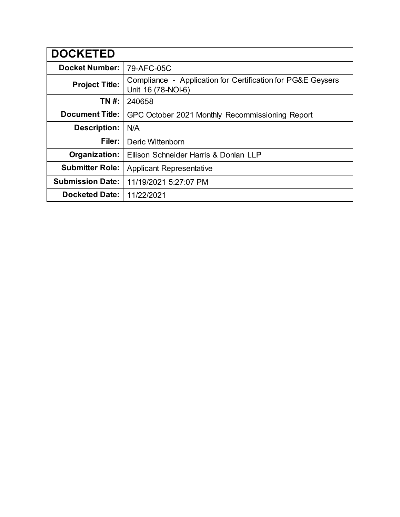| <b>DOCKETED</b>         |                                                                                   |
|-------------------------|-----------------------------------------------------------------------------------|
| <b>Docket Number:</b>   | 79-AFC-05C                                                                        |
| <b>Project Title:</b>   | Compliance - Application for Certification for PG&E Geysers<br>Unit 16 (78-NOI-6) |
| TN #:                   | 240658                                                                            |
| <b>Document Title:</b>  | GPC October 2021 Monthly Recommissioning Report                                   |
| <b>Description:</b>     | N/A                                                                               |
| Filer:                  | Deric Wittenborn                                                                  |
| Organization:           | Ellison Schneider Harris & Donlan LLP                                             |
| <b>Submitter Role:</b>  | <b>Applicant Representative</b>                                                   |
| <b>Submission Date:</b> | 11/19/2021 5:27:07 PM                                                             |
| <b>Docketed Date:</b>   | 11/22/2021                                                                        |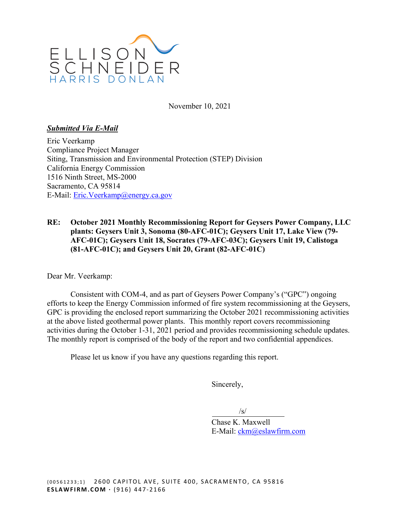

November 10, 2021

#### *Submitted Via E-Mail*

Eric Veerkamp Compliance Project Manager Siting, Transmission and Environmental Protection (STEP) Division California Energy Commission 1516 Ninth Street, MS-2000 Sacramento, CA 95814 E-Mail: Eric.Veerkamp@energy.ca.gov

#### **RE: October 2021 Monthly Recommissioning Report for Geysers Power Company, LLC plants: Geysers Unit 3, Sonoma (80-AFC-01C); Geysers Unit 17, Lake View (79- AFC-01C); Geysers Unit 18, Socrates (79-AFC-03C); Geysers Unit 19, Calistoga (81-AFC-01C); and Geysers Unit 20, Grant (82-AFC-01C)**

Dear Mr. Veerkamp:

Consistent with COM-4, and as part of Geysers Power Company's ("GPC") ongoing efforts to keep the Energy Commission informed of fire system recommissioning at the Geysers, GPC is providing the enclosed report summarizing the October 2021 recommissioning activities at the above listed geothermal power plants. This monthly report covers recommissioning activities during the October 1-31, 2021 period and provides recommissioning schedule updates. The monthly report is comprised of the body of the report and two confidential appendices.

Please let us know if you have any questions regarding this report.

Sincerely,

 $\sqrt{s}$ /s/

Chase K. Maxwell E-Mail: ckm@eslawfirm.com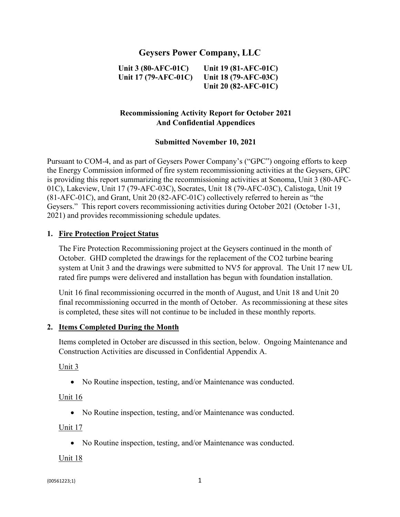# **Geysers Power Company, LLC**

**Unit 3 (80-AFC-01C) Unit 17 (79-AFC-01C)**  **Unit 19 (81-AFC-01C) Unit 18 (79-AFC-03C) Unit 20 (82-AFC-01C)** 

# **Recommissioning Activity Report for October 2021 And Confidential Appendices**

#### **Submitted November 10, 2021**

Pursuant to COM-4, and as part of Geysers Power Company's ("GPC") ongoing efforts to keep the Energy Commission informed of fire system recommissioning activities at the Geysers, GPC is providing this report summarizing the recommissioning activities at Sonoma, Unit 3 (80-AFC-01C), Lakeview, Unit 17 (79-AFC-03C), Socrates, Unit 18 (79-AFC-03C), Calistoga, Unit 19 (81-AFC-01C), and Grant, Unit 20 (82-AFC-01C) collectively referred to herein as "the Geysers." This report covers recommissioning activities during October 2021 (October 1-31, 2021) and provides recommissioning schedule updates.

#### **1. Fire Protection Project Status**

The Fire Protection Recommissioning project at the Geysers continued in the month of October. GHD completed the drawings for the replacement of the CO2 turbine bearing system at Unit 3 and the drawings were submitted to NV5 for approval. The Unit 17 new UL rated fire pumps were delivered and installation has begun with foundation installation.

Unit 16 final recommissioning occurred in the month of August, and Unit 18 and Unit 20 final recommissioning occurred in the month of October. As recommissioning at these sites is completed, these sites will not continue to be included in these monthly reports.

#### **2. Items Completed During the Month**

Items completed in October are discussed in this section, below. Ongoing Maintenance and Construction Activities are discussed in Confidential Appendix A.

Unit 3

• No Routine inspection, testing, and/or Maintenance was conducted.

#### Unit 16

No Routine inspection, testing, and/or Maintenance was conducted.

Unit 17

• No Routine inspection, testing, and/or Maintenance was conducted.

Unit 18

 ${00561223;1}$  1